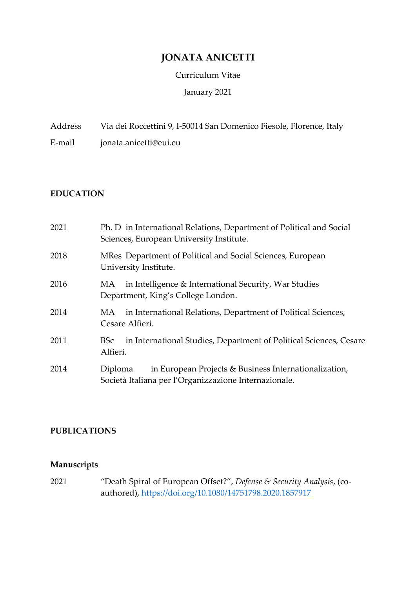# **JONATA ANICETTI**

#### Curriculum Vitae

### January 2021

Address Via dei Roccettini 9, I-50014 San Domenico Fiesole, Florence, Italy

E-mail jonata.anicetti@eui.eu

### **EDUCATION**

| 2021 | Ph. D in International Relations, Department of Political and Social<br>Sciences, European University Institute.          |
|------|---------------------------------------------------------------------------------------------------------------------------|
| 2018 | MRes Department of Political and Social Sciences, European<br>University Institute.                                       |
| 2016 | in Intelligence & International Security, War Studies<br>MA<br>Department, King's College London.                         |
| 2014 | in International Relations, Department of Political Sciences,<br>MA<br>Cesare Alfieri.                                    |
| 2011 | in International Studies, Department of Political Sciences, Cesare<br>BSc<br>Alfieri.                                     |
| 2014 | in European Projects & Business Internationalization,<br>Diploma<br>Società Italiana per l'Organizzazione Internazionale. |

# **PUBLICATIONS**

# **Manuscripts**

2021 "Death Spiral of European Offset?", *Defense & Security Analysis*, (coauthored),<https://doi.org/10.1080/14751798.2020.1857917>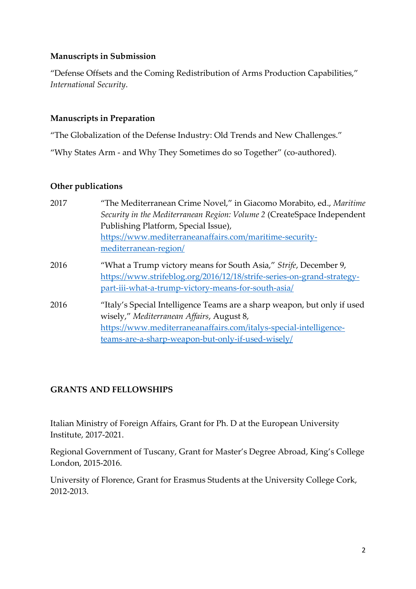## **Manuscripts in Submission**

"Defense Offsets and the Coming Redistribution of Arms Production Capabilities," *International Security*.

# **Manuscripts in Preparation**

"The Globalization of the Defense Industry: Old Trends and New Challenges."

"Why States Arm - and Why They Sometimes do so Together" (co-authored).

### **Other publications**

| "The Mediterranean Crime Novel," in Giacomo Morabito, ed., Maritime<br>Security in the Mediterranean Region: Volume 2 (CreateSpace Independent |
|------------------------------------------------------------------------------------------------------------------------------------------------|
| Publishing Platform, Special Issue),                                                                                                           |
| https://www.mediterraneanaffairs.com/maritime-security-<br>mediterranean-region/                                                               |
|                                                                                                                                                |
| "What a Trump victory means for South Asia," Strife, December 9,                                                                               |
| https://www.strifeblog.org/2016/12/18/strife-series-on-grand-strategy-<br>part-iii-what-a-trump-victory-means-for-south-asia/                  |
| "Italy's Special Intelligence Teams are a sharp weapon, but only if used                                                                       |
| wisely," Mediterranean Affairs, August 8,                                                                                                      |
| https://www.mediterraneanaffairs.com/italys-special-intelligence-                                                                              |
| teams-are-a-sharp-weapon-but-only-if-used-wisely/                                                                                              |
|                                                                                                                                                |

# **GRANTS AND FELLOWSHIPS**

Italian Ministry of Foreign Affairs, Grant for Ph. D at the European University Institute, 2017-2021.

Regional Government of Tuscany, Grant for Master's Degree Abroad, King's College London, 2015-2016.

University of Florence, Grant for Erasmus Students at the University College Cork, 2012-2013.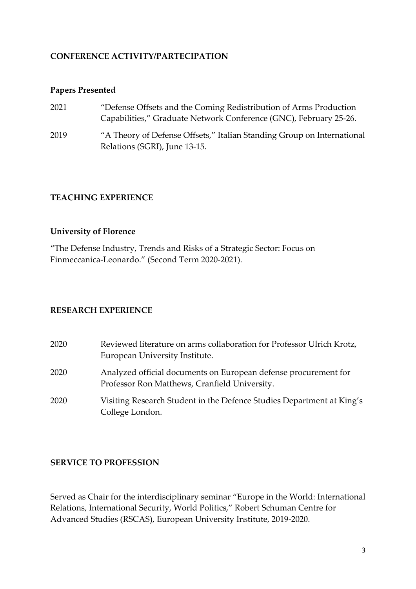### **CONFERENCE ACTIVITY/PARTECIPATION**

### **Papers Presented**

| 2021 | "Defense Offsets and the Coming Redistribution of Arms Production      |
|------|------------------------------------------------------------------------|
|      | Capabilities," Graduate Network Conference (GNC), February 25-26.      |
| 2019 | "A Theory of Defense Offsets," Italian Standing Group on International |
|      | Relations (SGRI), June 13-15.                                          |

### **TEACHING EXPERIENCE**

#### **University of Florence**

"The Defense Industry, Trends and Risks of a Strategic Sector: Focus on Finmeccanica-Leonardo." (Second Term 2020-2021).

#### **RESEARCH EXPERIENCE**

| 2020 | Reviewed literature on arms collaboration for Professor Ulrich Krotz,<br>European University Institute.          |
|------|------------------------------------------------------------------------------------------------------------------|
| 2020 | Analyzed official documents on European defense procurement for<br>Professor Ron Matthews, Cranfield University. |
| 2020 | Visiting Research Student in the Defence Studies Department at King's<br>College London.                         |

#### **SERVICE TO PROFESSION**

Served as Chair for the interdisciplinary seminar "Europe in the World: International Relations, International Security, World Politics," Robert Schuman Centre for Advanced Studies (RSCAS), European University Institute, 2019-2020.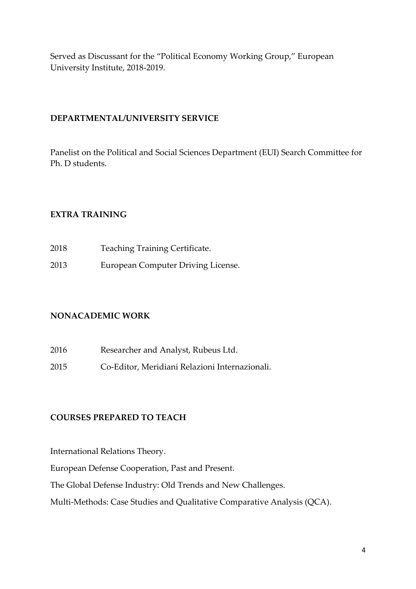Served as Discussant for the "Political Economy Working Group," European University Institute, 2018-2019.

## **DEPARTMENTAL/UNIVERSITY SERVICE**

Panelist on the Political and Social Sciences Department (EUI) Search Committee for Ph. D students.

# **EXTRA TRAINING**

| 2018 | Teaching Training Certificate.     |
|------|------------------------------------|
| 2013 | European Computer Driving License. |

# **NONACADEMIC WORK**

- 2016 Researcher and Analyst, Rubeus Ltd.
- 2015 Co-Editor, Meridiani Relazioni Internazionali.

### **COURSES PREPARED TO TEACH**

International Relations Theory.

European Defense Cooperation, Past and Present.

The Global Defense Industry: Old Trends and New Challenges.

Multi-Methods: Case Studies and Qualitative Comparative Analysis (QCA).